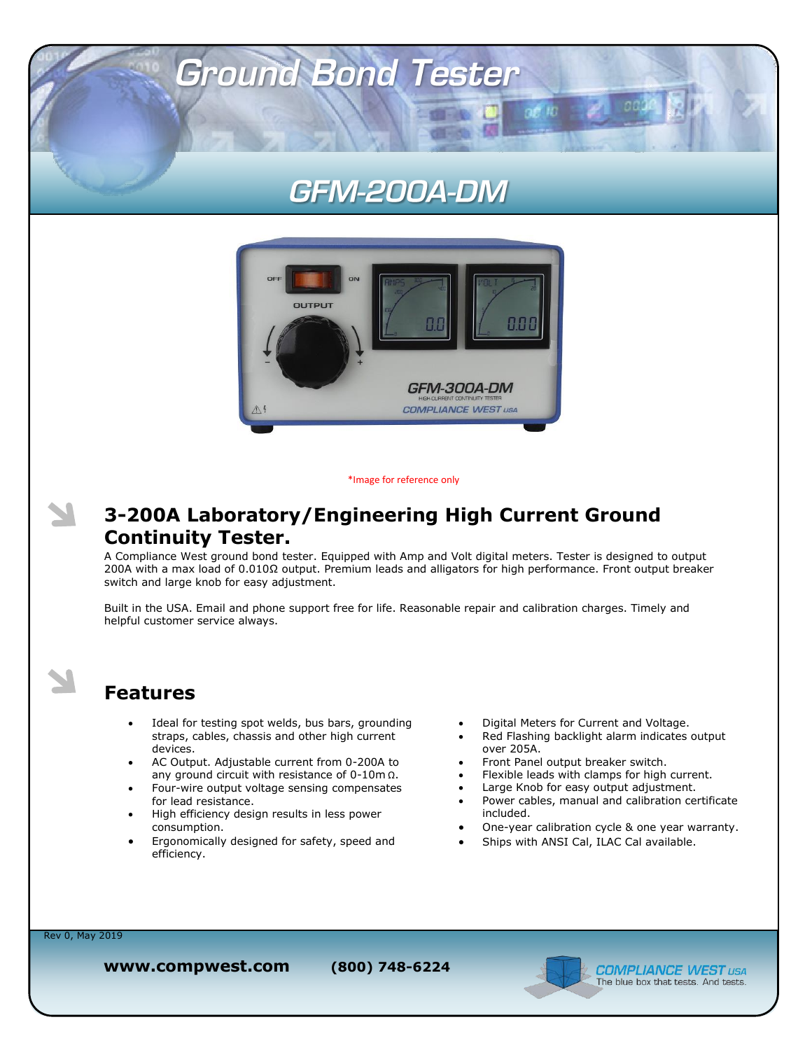## **GFM-200A-DM**

**GE TO** 

**Ground Bond Tester** 



\*Image for reference only

#### **3-200A Laboratory/Engineering High Current Ground Continuity Tester.**

A Compliance West ground bond tester. Equipped with Amp and Volt digital meters. Tester is designed to output 200A with a max load of 0.010Ω output. Premium leads and alligators for high performance. Front output breaker switch and large knob for easy adjustment.

Built in the USA. Email and phone support free for life. Reasonable repair and calibration charges. Timely and helpful customer service always.

#### **Features**

- Ideal for testing spot welds, bus bars, grounding straps, cables, chassis and other high current devices.
- AC Output. Adjustable current from 0-200A to any ground circuit with resistance of 0-10m Ω.
- Four-wire output voltage sensing compensates for lead resistance.
- High efficiency design results in less power consumption.
- Ergonomically designed for safety, speed and efficiency.
- Digital Meters for Current and Voltage.
- Red Flashing backlight alarm indicates output over 205A.
- Front Panel output breaker switch.
- Flexible leads with clamps for high current.
- Large Knob for easy output adjustment.
- Power cables, manual and calibration certificate included.
- One-year calibration cycle & one year warranty.
- Ships with ANSI Cal, ILAC Cal available.

Rev 0, May 2019

**www.compwest.com (800) 748-6224**